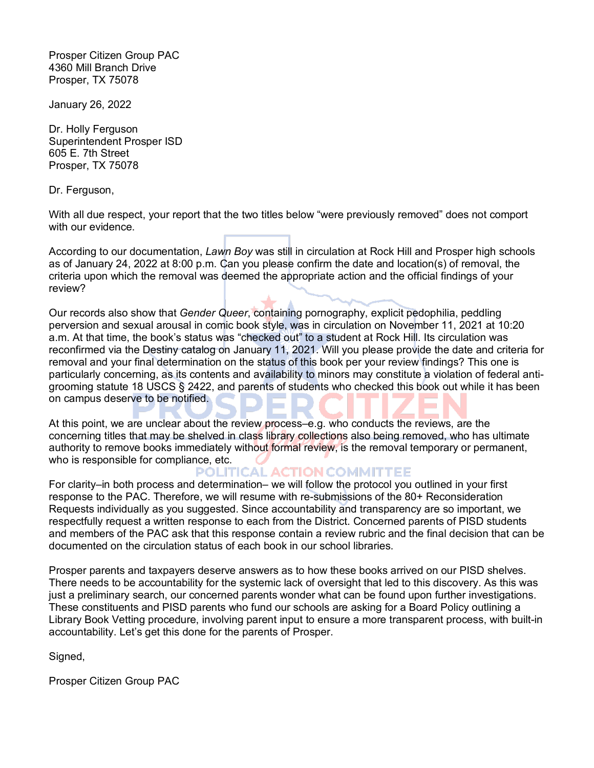Prosper Citizen Group PAC 4360 Mill Branch Drive Prosper, TX 75078

January 26, 2022

Dr. Holly Ferguson Superintendent Prosper ISD 605 E. 7th Street Prosper, TX 75078

Dr. Ferguson,

With all due respect, your report that the two titles below "were previously removed" does not comport with our evidence.

According to our documentation, *Lawn Boy* was still in circulation at Rock Hill and Prosper high schools as of January 24, 2022 at 8:00 p.m. Can you please confirm the date and location(s) of removal, the criteria upon which the removal was deemed the appropriate action and the official findings of your review?

Our records also show that *Gender Queer*, containing pornography, explicit pedophilia, peddling perversion and sexual arousal in comic book style, was in circulation on November 11, 2021 at 10:20 a.m. At that time, the book's status was "checked out" to a student at Rock Hill. Its circulation was reconfirmed via the Destiny catalog on January 11, 2021. Will you please provide the date and criteria for removal and your final determination on the status of this book per your review findings? This one is particularly concerning, as its contents and availability to minors may constitute a violation of federal antigrooming statute 18 USCS § 2422, and parents of students who checked this book out while it has been on campus deserve to be notified.

At this point, we are unclear about the review process–e.g. who conducts the reviews, are the concerning titles that may be shelved in class library collections also being removed, who has ultimate authority to remove books immediately without formal review, is the removal temporary or permanent, who is responsible for compliance, etc.

POLITICAL ACTION COMMITTEE

For clarity–in both process and determination– we will follow the protocol you outlined in your first response to the PAC. Therefore, we will resume with re-submissions of the 80+ Reconsideration Requests individually as you suggested. Since accountability and transparency are so important, we respectfully request a written response to each from the District. Concerned parents of PISD students and members of the PAC ask that this response contain a review rubric and the final decision that can be documented on the circulation status of each book in our school libraries.

Prosper parents and taxpayers deserve answers as to how these books arrived on our PISD shelves. There needs to be accountability for the systemic lack of oversight that led to this discovery. As this was just a preliminary search, our concerned parents wonder what can be found upon further investigations. These constituents and PISD parents who fund our schools are asking for a Board Policy outlining a Library Book Vetting procedure, involving parent input to ensure a more transparent process, with built-in accountability. Let's get this done for the parents of Prosper.

Signed,

Prosper Citizen Group PAC